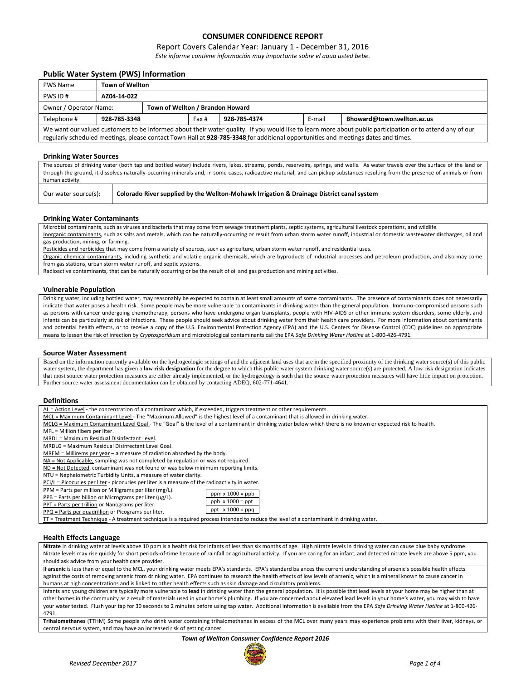## **CONSUMER CONFIDENCE REPORT**

## Report Covers Calendar Year: January 1 - December 31, 2016

*Este informe contiene información muy importante sobre el aqua usted bebe.*

## **Public Water System (PWS) Information**

| <b>PWS Name</b>                                                                                                                                           | <b>Town of Wellton</b> |  |  |              |        |                            |  |  |  |
|-----------------------------------------------------------------------------------------------------------------------------------------------------------|------------------------|--|--|--------------|--------|----------------------------|--|--|--|
| PWS ID#                                                                                                                                                   | AZ04-14-022            |  |  |              |        |                            |  |  |  |
| Town of Wellton / Brandon Howard<br>Owner / Operator Name:                                                                                                |                        |  |  |              |        |                            |  |  |  |
| Telephone #                                                                                                                                               | 928-785-3348           |  |  | 928-785-4374 | E-mail | Bhoward@town.wellton.az.us |  |  |  |
| We want our valued customers to be informed about their water quality. If you would like to learn more about public participation or to attend any of our |                        |  |  |              |        |                            |  |  |  |
| regularly scheduled meetings, please contact Town Hall at 928-785-3348 for additional opportunities and meetings dates and times.                         |                        |  |  |              |        |                            |  |  |  |

#### **Drinking Water Sources**

The sources of drinking water (both tap and bottled water) include rivers, lakes, streams, ponds, reservoirs, springs, and wells. As water travels over the surface of the land or through the ground, it dissolves naturally-occurring minerals and, in some cases, radioactive material, and can pickup substances resulting from the presence of animals or from human activity.

#### **Drinking Water Contaminants**

Microbial contaminants*,* such as viruses and bacteria that may come from sewage treatment plants, septic systems, agricultural livestock operations, and wildlife*.* Inorganic contaminants*,* such as salts and metals, which can be naturally-occurring or result from urban storm water runoff, industrial or domestic wastewater discharges, oil and gas production, mining, or farming.

Pesticides and herbicides that may come from a variety of sources, such as agriculture, urban storm water runoff, and residential uses.

Our water source(s): **Colorado River supplied by the Wellton-Mohawk Irrigation & Drainage District canal system**

Organic chemical contaminants*,* including synthetic and volatile organic chemicals, which are byproducts of industrial processes and petroleum production, and also may come from gas stations, urban storm water runoff, and septic systems.

Radioactive contaminants*,* that can be naturally occurring or be the result of oil and gas production and mining activities.

#### **Vulnerable Population**

Drinking water, including bottled water, may reasonably be expected to contain at least small amounts of some contaminants. The presence of contaminants does not necessarily indicate that water poses a health risk. Some people may be more vulnerable to contaminants in drinking water than the general population. Immuno-compromised persons such as persons with cancer undergoing chemotherapy, persons who have undergone organ transplants, people with HIV-AIDS or other immune system disorders, some elderly, and infants can be particularly at risk of infections. These people should seek advice about drinking water from their health care providers. For more information about contaminants and potential health effects, or to receive a copy of the U.S. Environmental Protection Agency (EPA) and the U.S. Centers for Disease Control (CDC) guidelines on appropriate means to lessen the risk of infection by *Cryptosporidium* and microbiological contaminants call the EPA *Safe Drinking Water Hotline* at 1-800-426-4791.

#### **Source Water Assessment**

Based on the information currently available on the hydrogeologic settings of and the adjacent land uses that are in the specified proximity of the drinking water source(s) of this public water system, the department has given a low risk designation for the degree to which this public water system drinking water source(s) are protected. A low risk designation indicates that most source water protection measures are either already implemented, or the hydrogeology is such that the source water protection measures will have little impact on protection. Further source water assessment documentation can be obtained by contacting ADEQ, 602-771-4641.

#### **Definitions**

| AL = Action Level - the concentration of a contaminant which, if exceeded, triggers treatment or other requirements. |
|----------------------------------------------------------------------------------------------------------------------|
|----------------------------------------------------------------------------------------------------------------------|

MCL = Maximum Contaminant Level - The "Maximum Allowed" is the highest level of a contaminant that is allowed in drinking water.

MCLG = Maximum Contaminant Level Goal - The "Goal" is the level of a contaminant in drinking water below which there is no known or expected risk to health.

MFL = Million fibers per liter.

MRDL = Maximum Residual Disinfectant Level.

MRDLG = Maximum Residual Disinfectant Level Goal.

MREM = Millirems per year – a measure of radiation absorbed by the body.

NA = Not Applicable, sampling was not completed by regulation or was not required.

ND = Not Detected, contaminant was not found or was below minimum reporting limits.

NTU = Nephelometric Turbidity Units, a measure of water clarity.

PCi/L = Picocuries per liter - picocuries per liter is a measure of the radioactivity in water.

**Product Tarts per liter (mg/L).**<br> **A** illion or Milligrams per liter (mg/L).

|       |  |   | <u>Frivi – Farts per million</u> or ivilingrams per liter (mg |  |  |
|-------|--|---|---------------------------------------------------------------|--|--|
| ----- |  | . |                                                               |  |  |

 $PPB = Parts per billion$  or Micrograms per liter ( $\mu$ g/L). PPT = Parts per trillion or Nanograms per liter. PPQ = Parts per quadrillion or Picograms per liter.

| $ppb \times 1000 = ppt$ |
|-------------------------|
| $ppt \times 1000 = ppa$ |
|                         |

ppm x 1000 = ppb

TT = Treatment Technique - A treatment technique is a required process intended to reduce the level of a contaminant in drinking water.

#### **Health Effects Language**

**Nitrate** in drinking water at levels above 10 ppm is a health risk for infants of less than six months of age. High nitrate levels in drinking water can cause blue baby syndrome. Nitrate levels may rise quickly for short periods-of-time because of rainfall or agricultural activity. If you are caring for an infant, and detected nitrate levels are above 5 ppm, you should ask advice from your health care provider.

If **arsenic** is less than or equal to the MCL, your drinking water meets EPA's standards. EPA's standard balances the current understanding of arsenic's possible health effects against the costs of removing arsenic from drinking water. EPA continues to research the health effects of low levels of arsenic, which is a mineral known to cause cancer in humans at high concentrations and is linked to other health effects such as skin damage and circulatory problems.

Infants and young children are typically more vulnerable to **lead** in drinking water than the general population. It is possible that lead levels at your home may be higher than at other homes in the community as a result of materials used in your home's plumbing. If you are concerned about elevated lead levels in your home's water, you may wish to have your water tested. Flush your tap for 30 seconds to 2 minutes before using tap water. Additional information is available from the EPA *Safe Drinking Water Hotline* at 1-800-426- 4791.

**Trihalomethanes** (TTHM) Some people who drink water containing trihalomethanes in excess of the MCL over many years may experience problems with their liver, kidneys, or central nervous system, and may have an increased risk of getting cancer.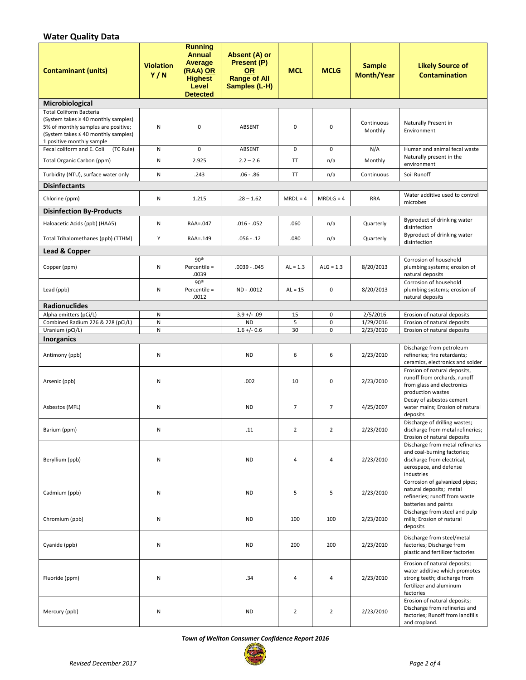# **Water Quality Data**

| <b>Contaminant (units)</b>                                                                                                                                                       | <b>Violation</b><br>Y/N | <b>Running</b><br><b>Annual</b><br>Average<br>(RAA) OR<br><b>Highest</b><br>Level<br><b>Detected</b> | Absent (A) or<br>Present (P)<br><b>OR</b><br><b>Range of All</b><br>Samples (L-H) | <b>MCL</b>     | <b>MCLG</b>                | <b>Sample</b><br><b>Month/Year</b> | <b>Likely Source of</b><br><b>Contamination</b>                                                                                       |
|----------------------------------------------------------------------------------------------------------------------------------------------------------------------------------|-------------------------|------------------------------------------------------------------------------------------------------|-----------------------------------------------------------------------------------|----------------|----------------------------|------------------------------------|---------------------------------------------------------------------------------------------------------------------------------------|
| Microbiological                                                                                                                                                                  |                         |                                                                                                      |                                                                                   |                |                            |                                    |                                                                                                                                       |
| <b>Total Coliform Bacteria</b><br>(System takes ≥ 40 monthly samples)<br>5% of monthly samples are positive;<br>(System takes ≤ 40 monthly samples)<br>1 positive monthly sample | Ν                       | $\mathbf 0$                                                                                          | ABSENT                                                                            | $\mathbf 0$    | $\pmb{0}$                  | Continuous<br>Monthly              | Naturally Present in<br>Environment                                                                                                   |
| Fecal coliform and E. Coli<br>(TC Rule)                                                                                                                                          | N                       | $\mathbf 0$                                                                                          | <b>ABSENT</b>                                                                     | $\mathbf 0$    | $\mathbf 0$                | N/A                                | Human and animal fecal waste                                                                                                          |
| Total Organic Carbon (ppm)                                                                                                                                                       | N                       | 2.925                                                                                                | $2.2 - 2.6$                                                                       | <b>TT</b>      | n/a                        | Monthly                            | Naturally present in the<br>environment                                                                                               |
| Turbidity (NTU), surface water only                                                                                                                                              | N                       | .243                                                                                                 | $.06 - .86$                                                                       | TT             | n/a                        | Continuous                         | Soil Runoff                                                                                                                           |
| <b>Disinfectants</b>                                                                                                                                                             |                         |                                                                                                      |                                                                                   |                |                            |                                    |                                                                                                                                       |
| Chlorine (ppm)                                                                                                                                                                   | Ν                       | 1.215                                                                                                | $.28 - 1.62$                                                                      | $MRDL = 4$     | $MRDLG = 4$                | <b>RRA</b>                         | Water additive used to control<br>microbes                                                                                            |
| <b>Disinfection By-Products</b>                                                                                                                                                  |                         |                                                                                                      |                                                                                   |                |                            |                                    |                                                                                                                                       |
| Haloacetic Acids (ppb) (HAA5)                                                                                                                                                    | Ν                       | RAA=.047                                                                                             | $.016 - .052$                                                                     | .060           | n/a                        | Quarterly                          | Byproduct of drinking water<br>disinfection                                                                                           |
| Total Trihalomethanes (ppb) (TTHM)                                                                                                                                               | Y                       | RAA=.149                                                                                             | $.056 - .12$                                                                      | .080           | n/a                        | Quarterly                          | Byproduct of drinking water<br>disinfection                                                                                           |
| Lead & Copper                                                                                                                                                                    |                         |                                                                                                      |                                                                                   |                |                            |                                    |                                                                                                                                       |
| Copper (ppm)                                                                                                                                                                     | Ν                       | 90 <sup>th</sup><br>Percentile =<br>.0039                                                            | $.0039-.045$                                                                      | $AL = 1.3$     | $ALG = 1.3$                | 8/20/2013                          | Corrosion of household<br>plumbing systems; erosion of<br>natural deposits                                                            |
| Lead (ppb)                                                                                                                                                                       | Ν                       | 90 <sup>th</sup><br>Percentile =<br>.0012                                                            | ND - .0012                                                                        | $AL = 15$      | 0                          | 8/20/2013                          | Corrosion of household<br>plumbing systems; erosion of<br>natural deposits                                                            |
| <b>Radionuclides</b>                                                                                                                                                             |                         |                                                                                                      |                                                                                   |                |                            |                                    |                                                                                                                                       |
| Alpha emitters (pCi/L)                                                                                                                                                           | Ν                       |                                                                                                      | $3.9 +/- .09$                                                                     | 15             | 0                          | 2/5/2016                           | Erosion of natural deposits                                                                                                           |
| Combined Radium 226 & 228 (pCi/L)<br>Uranium (pCi/L)                                                                                                                             | N<br>N                  |                                                                                                      | <b>ND</b><br>$1.6 +/- 0.6$                                                        | 5<br>30        | $\mathbf 0$<br>$\mathbf 0$ | 1/29/2016<br>2/23/2010             | Erosion of natural deposits<br>Erosion of natural deposits                                                                            |
| <b>Inorganics</b>                                                                                                                                                                |                         |                                                                                                      |                                                                                   |                |                            |                                    |                                                                                                                                       |
| Antimony (ppb)                                                                                                                                                                   | Ν                       |                                                                                                      | <b>ND</b>                                                                         | 6              | 6                          | 2/23/2010                          | Discharge from petroleum<br>refineries; fire retardants;<br>ceramics, electronics and solder                                          |
| Arsenic (ppb)                                                                                                                                                                    | Ν                       |                                                                                                      | .002                                                                              | 10             | $\pmb{0}$                  | 2/23/2010                          | Erosion of natural deposits,<br>runoff from orchards, runoff<br>from glass and electronics<br>production wastes                       |
| Asbestos (MFL)                                                                                                                                                                   | Ν                       |                                                                                                      | <b>ND</b>                                                                         | $\overline{7}$ | $\overline{7}$             | 4/25/2007                          | Decay of asbestos cement<br>water mains; Erosion of natural<br>deposits                                                               |
| Barium (ppm)                                                                                                                                                                     | Ν                       |                                                                                                      | .11                                                                               | $\overline{2}$ | $\overline{2}$             | 2/23/2010                          | Discharge of drilling wastes;<br>discharge from metal refineries;<br>Erosion of natural deposits                                      |
| Beryllium (ppb)                                                                                                                                                                  | Ν                       |                                                                                                      | <b>ND</b>                                                                         | 4              | 4                          | 2/23/2010                          | Discharge from metal refineries<br>and coal-burning factories;<br>discharge from electrical,<br>aerospace, and defense<br>industries  |
| Cadmium (ppb)                                                                                                                                                                    | Ν                       |                                                                                                      | <b>ND</b>                                                                         | 5              | 5                          | 2/23/2010                          | Corrosion of galvanized pipes;<br>natural deposits; metal<br>refineries; runoff from waste<br>batteries and paints                    |
| Chromium (ppb)                                                                                                                                                                   | N                       |                                                                                                      | <b>ND</b>                                                                         | 100            | 100                        | 2/23/2010                          | Discharge from steel and pulp<br>mills; Erosion of natural<br>deposits                                                                |
| Cyanide (ppb)                                                                                                                                                                    | Ν                       |                                                                                                      | <b>ND</b>                                                                         | 200            | 200                        | 2/23/2010                          | Discharge from steel/metal<br>factories; Discharge from<br>plastic and fertilizer factories                                           |
| Fluoride (ppm)                                                                                                                                                                   | Ν                       |                                                                                                      | .34                                                                               | 4              | 4                          | 2/23/2010                          | Erosion of natural deposits;<br>water additive which promotes<br>strong teeth; discharge from<br>fertilizer and aluminum<br>factories |
| Mercury (ppb)                                                                                                                                                                    | Ν                       |                                                                                                      | <b>ND</b>                                                                         | $\overline{2}$ | $\overline{2}$             | 2/23/2010                          | Erosion of natural deposits;<br>Discharge from refineries and<br>factories; Runoff from landfills<br>and cropland.                    |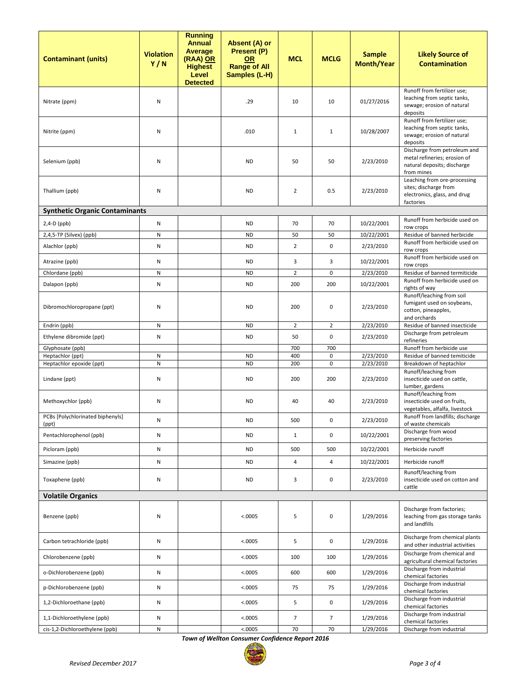| <b>Contaminant (units)</b>                   | <b>Violation</b><br>Y/N | <b>Running</b><br><b>Annual</b><br><b>Average</b><br>(RAA) OR<br><b>Highest</b><br>Level<br><b>Detected</b> | Absent (A) or<br>Present (P)<br><b>OR</b><br><b>Range of All</b><br>Samples (L-H) | <b>MCL</b>     | <b>MCLG</b>    | <b>Sample</b><br><b>Month/Year</b> | <b>Likely Source of</b><br><b>Contamination</b>                                                                 |
|----------------------------------------------|-------------------------|-------------------------------------------------------------------------------------------------------------|-----------------------------------------------------------------------------------|----------------|----------------|------------------------------------|-----------------------------------------------------------------------------------------------------------------|
| Nitrate (ppm)                                | N                       |                                                                                                             | .29                                                                               | 10             | 10             | 01/27/2016                         | Runoff from fertilizer use;<br>leaching from septic tanks,<br>sewage; erosion of natural<br>deposits            |
| Nitrite (ppm)                                | N                       |                                                                                                             | .010                                                                              | $\mathbf{1}$   | $\mathbf{1}$   | 10/28/2007                         | Runoff from fertilizer use;<br>leaching from septic tanks,<br>sewage; erosion of natural<br>deposits            |
| Selenium (ppb)                               | N                       |                                                                                                             | <b>ND</b>                                                                         | 50             | 50             | 2/23/2010                          | Discharge from petroleum and<br>metal refineries; erosion of<br>natural deposits; discharge<br>from mines       |
| Thallium (ppb)                               | N                       |                                                                                                             | <b>ND</b>                                                                         | $\overline{2}$ | 0.5            | 2/23/2010                          | Leaching from ore-processing<br>sites; discharge from<br>electronics, glass, and drug<br>factories              |
| <b>Synthetic Organic Contaminants</b>        |                         |                                                                                                             |                                                                                   |                |                |                                    |                                                                                                                 |
| $2,4-D$ (ppb)                                | N                       |                                                                                                             | <b>ND</b>                                                                         | 70             | 70             | 10/22/2001                         | Runoff from herbicide used on<br>row crops                                                                      |
| 2,4,5-TP (Silvex) (ppb)                      | ${\sf N}$               |                                                                                                             | <b>ND</b>                                                                         | 50             | 50             | 10/22/2001                         | Residue of banned herbicide                                                                                     |
| Alachlor (ppb)                               | N                       |                                                                                                             | <b>ND</b>                                                                         | $\overline{2}$ | 0              | 2/23/2010                          | Runoff from herbicide used on<br>row crops                                                                      |
| Atrazine (ppb)                               | Ν                       |                                                                                                             | ND                                                                                | 3              | 3              | 10/22/2001                         | Runoff from herbicide used on<br>row crops                                                                      |
| Chlordane (ppb)                              | ${\sf N}$               |                                                                                                             | <b>ND</b>                                                                         | $\overline{2}$ | $\mathbf 0$    | 2/23/2010                          | Residue of banned termiticide                                                                                   |
| Dalapon (ppb)                                | N                       |                                                                                                             | <b>ND</b>                                                                         | 200            | 200            | 10/22/2001                         | Runoff from herbicide used on                                                                                   |
| Dibromochloropropane (ppt)                   | N                       |                                                                                                             | <b>ND</b>                                                                         | 200            | 0              | 2/23/2010                          | rights of way<br>Runoff/leaching from soil<br>fumigant used on soybeans,<br>cotton, pineapples,<br>and orchards |
| Endrin (ppb)                                 | N                       |                                                                                                             | <b>ND</b>                                                                         | $\overline{2}$ | $\overline{2}$ | 2/23/2010                          | Residue of banned insecticide                                                                                   |
| Ethylene dibromide (ppt)                     | ${\sf N}$               |                                                                                                             | <b>ND</b>                                                                         | 50             | 0              | 2/23/2010                          | Discharge from petroleum<br>refineries                                                                          |
| Glyphosate (ppb)                             |                         |                                                                                                             |                                                                                   | 700            | 700            |                                    | Runoff from herbicide use                                                                                       |
| Heptachlor (ppt)<br>Heptachlor epoxide (ppt) | ${\sf N}$<br>${\sf N}$  |                                                                                                             | <b>ND</b><br><b>ND</b>                                                            | 400<br>200     | 0<br>0         | 2/23/2010<br>2/23/2010             | Residue of banned temiticide<br>Breakdown of heptachlor                                                         |
| Lindane (ppt)                                | N                       |                                                                                                             | <b>ND</b>                                                                         | 200            | 200            | 2/23/2010                          | Runoff/leaching from<br>insecticide used on cattle,<br>lumber, gardens                                          |
| Methoxychlor (ppb)                           | N                       |                                                                                                             | <b>ND</b>                                                                         | 40             | 40             | 2/23/2010                          | Runoff/leaching from<br>insecticide used on fruits,<br>vegetables, alfalfa, livestock                           |
| PCBs [Polychlorinated biphenyls]<br>(ppt)    | ${\sf N}$               |                                                                                                             | <b>ND</b>                                                                         | 500            | $\pmb{0}$      | 2/23/2010                          | Runoff from landfills; discharge<br>of waste chemicals                                                          |
| Pentachlorophenol (ppb)                      | N                       |                                                                                                             | <b>ND</b>                                                                         | $\mathbf{1}$   | 0              | 10/22/2001                         | Discharge from wood<br>preserving factories                                                                     |
| Picloram (ppb)                               | N                       |                                                                                                             | <b>ND</b>                                                                         | 500            | 500            | 10/22/2001                         | Herbicide runoff                                                                                                |
| Simazine (ppb)                               | N                       |                                                                                                             | <b>ND</b>                                                                         | 4              | 4              | 10/22/2001                         | Herbicide runoff                                                                                                |
| Toxaphene (ppb)                              | N                       |                                                                                                             | <b>ND</b>                                                                         | 3              | 0              | 2/23/2010                          | Runoff/leaching from<br>insecticide used on cotton and<br>cattle                                                |
| <b>Volatile Organics</b>                     |                         |                                                                                                             |                                                                                   |                |                |                                    |                                                                                                                 |
| Benzene (ppb)                                | N                       |                                                                                                             | < .0005                                                                           | 5              | $\mathbf 0$    | 1/29/2016                          | Discharge from factories;<br>leaching from gas storage tanks<br>and landfills                                   |
| Carbon tetrachloride (ppb)                   | N                       |                                                                                                             | < .0005                                                                           | 5              | 0              | 1/29/2016                          | Discharge from chemical plants<br>and other industrial activities                                               |
| Chlorobenzene (ppb)                          | N                       |                                                                                                             | < .0005                                                                           | 100            | 100            | 1/29/2016                          | Discharge from chemical and<br>agricultural chemical factories                                                  |
| o-Dichlorobenzene (ppb)                      | N                       |                                                                                                             | < .0005                                                                           | 600            | 600            | 1/29/2016                          | Discharge from industrial<br>chemical factories                                                                 |
| p-Dichlorobenzene (ppb)                      | N                       |                                                                                                             | < .0005                                                                           | 75             | 75             | 1/29/2016                          | Discharge from industrial<br>chemical factories                                                                 |
| 1,2-Dichloroethane (ppb)                     | N                       |                                                                                                             | < .0005                                                                           | 5              | 0              | 1/29/2016                          | Discharge from industrial<br>chemical factories                                                                 |
| 1,1-Dichloroethylene (ppb)                   | N                       |                                                                                                             | < .0005                                                                           | $\overline{7}$ | $\overline{7}$ | 1/29/2016                          | Discharge from industrial<br>chemical factories                                                                 |
| cis-1,2-Dichloroethylene (ppb)               | N                       |                                                                                                             | < .0005                                                                           | 70             | 70             | 1/29/2016                          | Discharge from industrial                                                                                       |